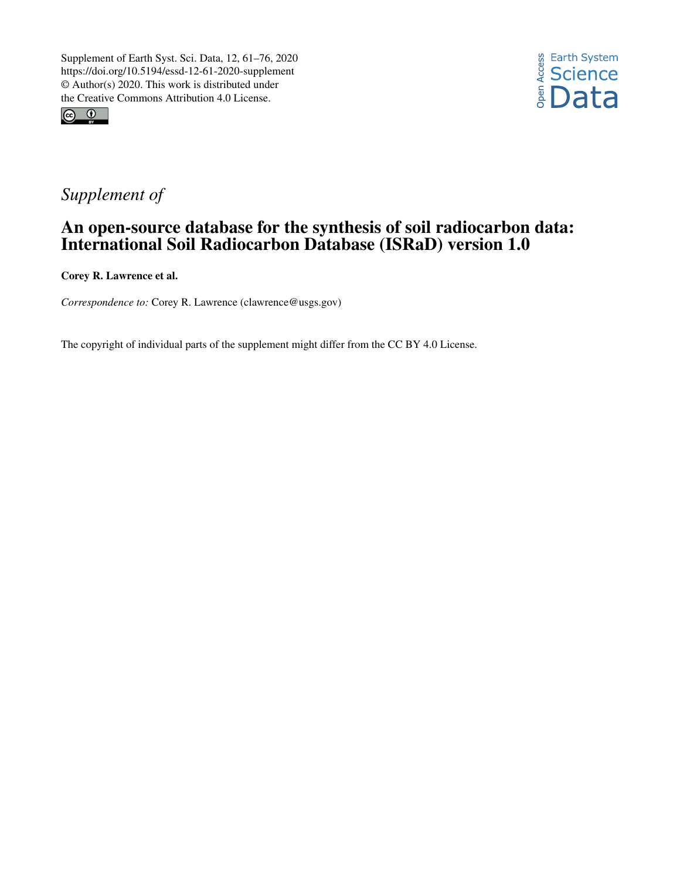



## *Supplement of*

## An open-source database for the synthesis of soil radiocarbon data: International Soil Radiocarbon Database (ISRaD) version 1.0

Corey R. Lawrence et al.

*Correspondence to:* Corey R. Lawrence (clawrence@usgs.gov)

The copyright of individual parts of the supplement might differ from the CC BY 4.0 License.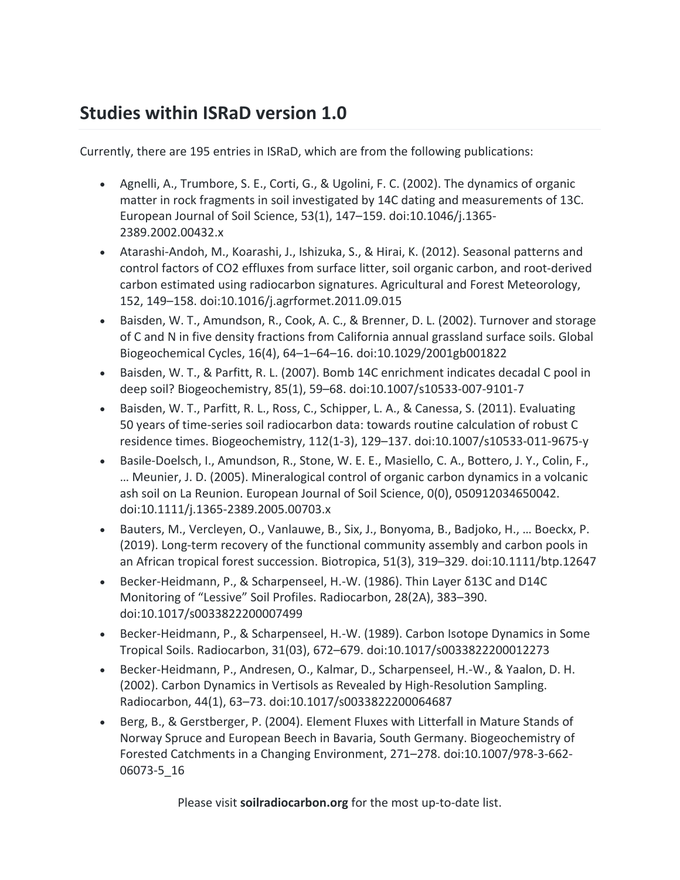## **Studies within ISRaD version 1.0**

Currently, there are 195 entries in ISRaD, which are from the following publications:

- Agnelli, A., Trumbore, S. E., Corti, G., & Ugolini, F. C. (2002). The dynamics of organic matter in rock fragments in soil investigated by 14C dating and measurements of 13C. European Journal of Soil Science, 53(1), 147–159. doi:10.1046/j.1365- 2389.2002.00432.x
- Atarashi-Andoh, M., Koarashi, J., Ishizuka, S., & Hirai, K. (2012). Seasonal patterns and control factors of CO2 effluxes from surface litter, soil organic carbon, and root-derived carbon estimated using radiocarbon signatures. Agricultural and Forest Meteorology, 152, 149–158. doi:10.1016/j.agrformet.2011.09.015
- Baisden, W. T., Amundson, R., Cook, A. C., & Brenner, D. L. (2002). Turnover and storage of C and N in five density fractions from California annual grassland surface soils. Global Biogeochemical Cycles, 16(4), 64–1–64–16. doi:10.1029/2001gb001822
- Baisden, W. T., & Parfitt, R. L. (2007). Bomb 14C enrichment indicates decadal C pool in deep soil? Biogeochemistry, 85(1), 59–68. doi:10.1007/s10533-007-9101-7
- Baisden, W. T., Parfitt, R. L., Ross, C., Schipper, L. A., & Canessa, S. (2011). Evaluating 50 years of time-series soil radiocarbon data: towards routine calculation of robust C residence times. Biogeochemistry, 112(1-3), 129–137. doi:10.1007/s10533-011-9675-y
- Basile-Doelsch, I., Amundson, R., Stone, W. E. E., Masiello, C. A., Bottero, J. Y., Colin, F., … Meunier, J. D. (2005). Mineralogical control of organic carbon dynamics in a volcanic ash soil on La Reunion. European Journal of Soil Science, 0(0), 050912034650042. doi:10.1111/j.1365-2389.2005.00703.x
- Bauters, M., Vercleyen, O., Vanlauwe, B., Six, J., Bonyoma, B., Badjoko, H., … Boeckx, P. (2019). Long-term recovery of the functional community assembly and carbon pools in an African tropical forest succession. Biotropica, 51(3), 319–329. doi:10.1111/btp.12647
- Becker-Heidmann, P., & Scharpenseel, H.-W. (1986). Thin Layer δ13C and D14C Monitoring of "Lessive" Soil Profiles. Radiocarbon, 28(2A), 383–390. doi:10.1017/s0033822200007499
- Becker-Heidmann, P., & Scharpenseel, H.-W. (1989). Carbon Isotope Dynamics in Some Tropical Soils. Radiocarbon, 31(03), 672–679. doi:10.1017/s0033822200012273
- Becker-Heidmann, P., Andresen, O., Kalmar, D., Scharpenseel, H.-W., & Yaalon, D. H. (2002). Carbon Dynamics in Vertisols as Revealed by High-Resolution Sampling. Radiocarbon, 44(1), 63–73. doi:10.1017/s0033822200064687
- Berg, B., & Gerstberger, P. (2004). Element Fluxes with Litterfall in Mature Stands of Norway Spruce and European Beech in Bavaria, South Germany. Biogeochemistry of Forested Catchments in a Changing Environment, 271–278. doi:10.1007/978-3-662- 06073-5\_16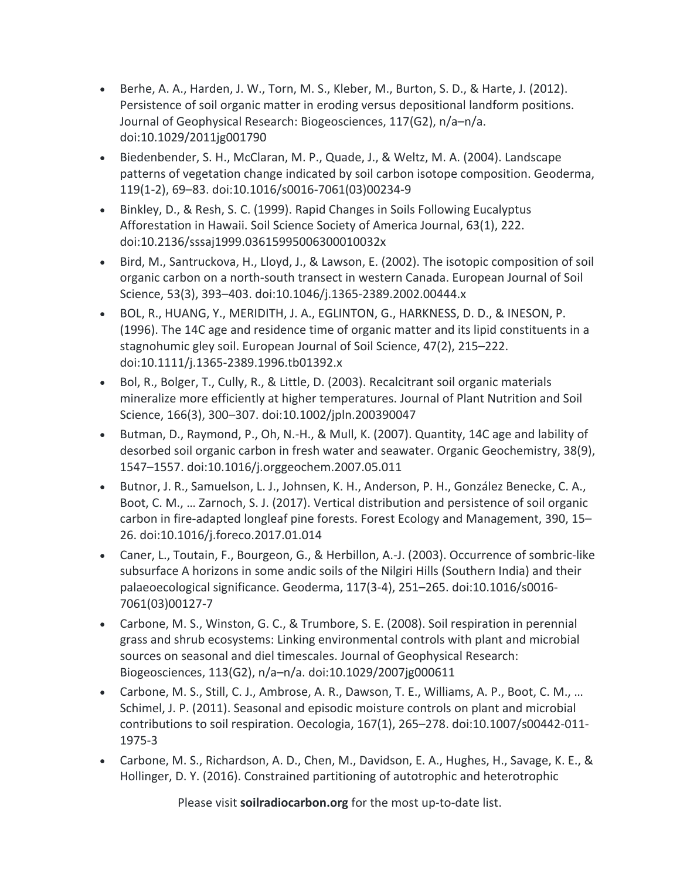- Berhe, A. A., Harden, J. W., Torn, M. S., Kleber, M., Burton, S. D., & Harte, J. (2012). Persistence of soil organic matter in eroding versus depositional landform positions. Journal of Geophysical Research: Biogeosciences, 117(G2), n/a–n/a. doi:10.1029/2011jg001790
- Biedenbender, S. H., McClaran, M. P., Quade, J., & Weltz, M. A. (2004). Landscape patterns of vegetation change indicated by soil carbon isotope composition. Geoderma, 119(1-2), 69–83. doi:10.1016/s0016-7061(03)00234-9
- Binkley, D., & Resh, S. C. (1999). Rapid Changes in Soils Following Eucalyptus Afforestation in Hawaii. Soil Science Society of America Journal, 63(1), 222. doi:10.2136/sssaj1999.03615995006300010032x
- Bird, M., Santruckova, H., Lloyd, J., & Lawson, E. (2002). The isotopic composition of soil organic carbon on a north-south transect in western Canada. European Journal of Soil Science, 53(3), 393–403. doi:10.1046/j.1365-2389.2002.00444.x
- BOL, R., HUANG, Y., MERIDITH, J. A., EGLINTON, G., HARKNESS, D. D., & INESON, P. (1996). The 14C age and residence time of organic matter and its lipid constituents in a stagnohumic gley soil. European Journal of Soil Science, 47(2), 215–222. doi:10.1111/j.1365-2389.1996.tb01392.x
- Bol, R., Bolger, T., Cully, R., & Little, D. (2003). Recalcitrant soil organic materials mineralize more efficiently at higher temperatures. Journal of Plant Nutrition and Soil Science, 166(3), 300–307. doi:10.1002/jpln.200390047
- Butman, D., Raymond, P., Oh, N.-H., & Mull, K. (2007). Quantity, 14C age and lability of desorbed soil organic carbon in fresh water and seawater. Organic Geochemistry, 38(9), 1547–1557. doi:10.1016/j.orggeochem.2007.05.011
- Butnor, J. R., Samuelson, L. J., Johnsen, K. H., Anderson, P. H., González Benecke, C. A., Boot, C. M., … Zarnoch, S. J. (2017). Vertical distribution and persistence of soil organic carbon in fire-adapted longleaf pine forests. Forest Ecology and Management, 390, 15– 26. doi:10.1016/j.foreco.2017.01.014
- Caner, L., Toutain, F., Bourgeon, G., & Herbillon, A.-J. (2003). Occurrence of sombric-like subsurface A horizons in some andic soils of the Nilgiri Hills (Southern India) and their palaeoecological significance. Geoderma, 117(3-4), 251–265. doi:10.1016/s0016- 7061(03)00127-7
- Carbone, M. S., Winston, G. C., & Trumbore, S. E. (2008). Soil respiration in perennial grass and shrub ecosystems: Linking environmental controls with plant and microbial sources on seasonal and diel timescales. Journal of Geophysical Research: Biogeosciences, 113(G2), n/a–n/a. doi:10.1029/2007jg000611
- Carbone, M. S., Still, C. J., Ambrose, A. R., Dawson, T. E., Williams, A. P., Boot, C. M., … Schimel, J. P. (2011). Seasonal and episodic moisture controls on plant and microbial contributions to soil respiration. Oecologia, 167(1), 265–278. doi:10.1007/s00442-011- 1975-3
- Carbone, M. S., Richardson, A. D., Chen, M., Davidson, E. A., Hughes, H., Savage, K. E., & Hollinger, D. Y. (2016). Constrained partitioning of autotrophic and heterotrophic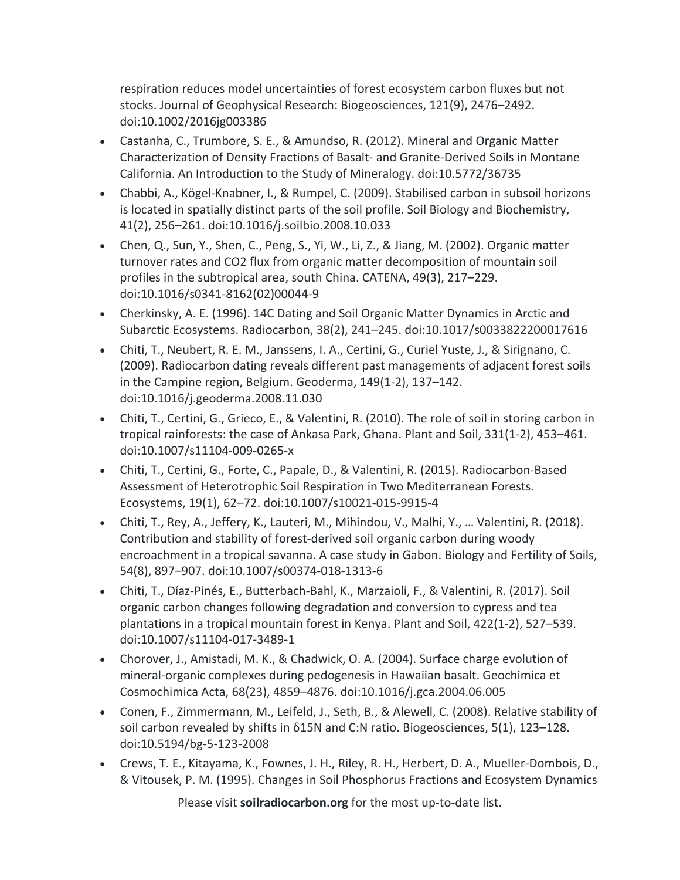respiration reduces model uncertainties of forest ecosystem carbon fluxes but not stocks. Journal of Geophysical Research: Biogeosciences, 121(9), 2476–2492. doi:10.1002/2016jg003386

- Castanha, C., Trumbore, S. E., & Amundso, R. (2012). Mineral and Organic Matter Characterization of Density Fractions of Basalt- and Granite-Derived Soils in Montane California. An Introduction to the Study of Mineralogy. doi:10.5772/36735
- Chabbi, A., Kögel-Knabner, I., & Rumpel, C. (2009). Stabilised carbon in subsoil horizons is located in spatially distinct parts of the soil profile. Soil Biology and Biochemistry, 41(2), 256–261. doi:10.1016/j.soilbio.2008.10.033
- Chen, Q., Sun, Y., Shen, C., Peng, S., Yi, W., Li, Z., & Jiang, M. (2002). Organic matter turnover rates and CO2 flux from organic matter decomposition of mountain soil profiles in the subtropical area, south China. CATENA, 49(3), 217–229. doi:10.1016/s0341-8162(02)00044-9
- Cherkinsky, A. E. (1996). 14C Dating and Soil Organic Matter Dynamics in Arctic and Subarctic Ecosystems. Radiocarbon, 38(2), 241–245. doi:10.1017/s0033822200017616
- Chiti, T., Neubert, R. E. M., Janssens, I. A., Certini, G., Curiel Yuste, J., & Sirignano, C. (2009). Radiocarbon dating reveals different past managements of adjacent forest soils in the Campine region, Belgium. Geoderma, 149(1-2), 137–142. doi:10.1016/j.geoderma.2008.11.030
- Chiti, T., Certini, G., Grieco, E., & Valentini, R. (2010). The role of soil in storing carbon in tropical rainforests: the case of Ankasa Park, Ghana. Plant and Soil, 331(1-2), 453–461. doi:10.1007/s11104-009-0265-x
- Chiti, T., Certini, G., Forte, C., Papale, D., & Valentini, R. (2015). Radiocarbon-Based Assessment of Heterotrophic Soil Respiration in Two Mediterranean Forests. Ecosystems, 19(1), 62–72. doi:10.1007/s10021-015-9915-4
- Chiti, T., Rey, A., Jeffery, K., Lauteri, M., Mihindou, V., Malhi, Y., … Valentini, R. (2018). Contribution and stability of forest-derived soil organic carbon during woody encroachment in a tropical savanna. A case study in Gabon. Biology and Fertility of Soils, 54(8), 897–907. doi:10.1007/s00374-018-1313-6
- Chiti, T., Díaz-Pinés, E., Butterbach-Bahl, K., Marzaioli, F., & Valentini, R. (2017). Soil organic carbon changes following degradation and conversion to cypress and tea plantations in a tropical mountain forest in Kenya. Plant and Soil, 422(1-2), 527–539. doi:10.1007/s11104-017-3489-1
- Chorover, J., Amistadi, M. K., & Chadwick, O. A. (2004). Surface charge evolution of mineral-organic complexes during pedogenesis in Hawaiian basalt. Geochimica et Cosmochimica Acta, 68(23), 4859–4876. doi:10.1016/j.gca.2004.06.005
- Conen, F., Zimmermann, M., Leifeld, J., Seth, B., & Alewell, C. (2008). Relative stability of soil carbon revealed by shifts in δ15N and C:N ratio. Biogeosciences, 5(1), 123–128. doi:10.5194/bg-5-123-2008
- Crews, T. E., Kitayama, K., Fownes, J. H., Riley, R. H., Herbert, D. A., Mueller-Dombois, D., & Vitousek, P. M. (1995). Changes in Soil Phosphorus Fractions and Ecosystem Dynamics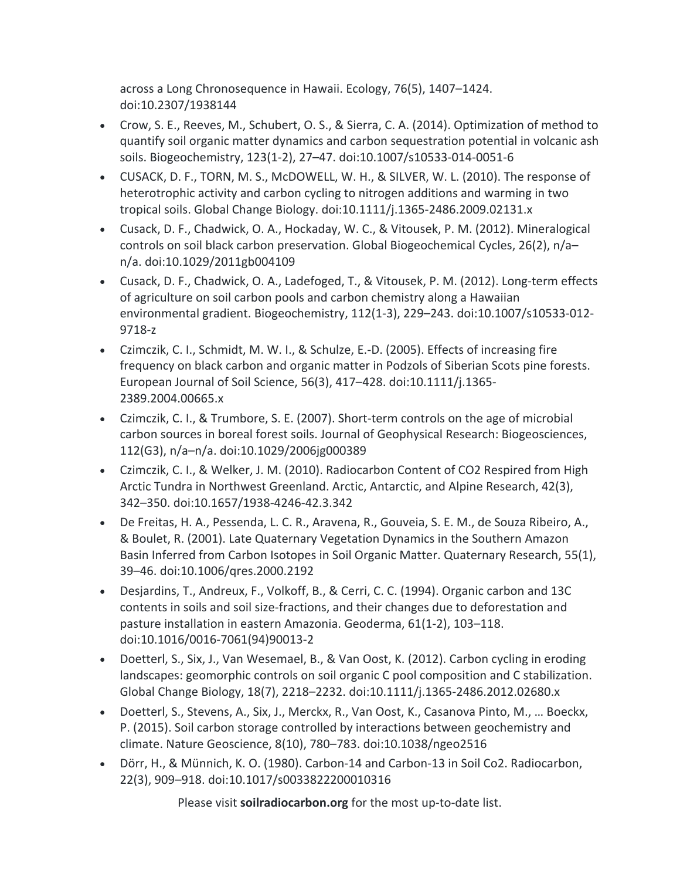across a Long Chronosequence in Hawaii. Ecology, 76(5), 1407–1424. doi:10.2307/1938144

- Crow, S. E., Reeves, M., Schubert, O. S., & Sierra, C. A. (2014). Optimization of method to quantify soil organic matter dynamics and carbon sequestration potential in volcanic ash soils. Biogeochemistry, 123(1-2), 27–47. doi:10.1007/s10533-014-0051-6
- CUSACK, D. F., TORN, M. S., McDOWELL, W. H., & SILVER, W. L. (2010). The response of heterotrophic activity and carbon cycling to nitrogen additions and warming in two tropical soils. Global Change Biology. doi:10.1111/j.1365-2486.2009.02131.x
- Cusack, D. F., Chadwick, O. A., Hockaday, W. C., & Vitousek, P. M. (2012). Mineralogical controls on soil black carbon preservation. Global Biogeochemical Cycles, 26(2), n/a– n/a. doi:10.1029/2011gb004109
- Cusack, D. F., Chadwick, O. A., Ladefoged, T., & Vitousek, P. M. (2012). Long-term effects of agriculture on soil carbon pools and carbon chemistry along a Hawaiian environmental gradient. Biogeochemistry, 112(1-3), 229–243. doi:10.1007/s10533-012- 9718-z
- Czimczik, C. I., Schmidt, M. W. I., & Schulze, E.-D. (2005). Effects of increasing fire frequency on black carbon and organic matter in Podzols of Siberian Scots pine forests. European Journal of Soil Science, 56(3), 417–428. doi:10.1111/j.1365- 2389.2004.00665.x
- Czimczik, C. I., & Trumbore, S. E. (2007). Short-term controls on the age of microbial carbon sources in boreal forest soils. Journal of Geophysical Research: Biogeosciences, 112(G3), n/a–n/a. doi:10.1029/2006jg000389
- Czimczik, C. I., & Welker, J. M. (2010). Radiocarbon Content of CO2 Respired from High Arctic Tundra in Northwest Greenland. Arctic, Antarctic, and Alpine Research, 42(3), 342–350. doi:10.1657/1938-4246-42.3.342
- De Freitas, H. A., Pessenda, L. C. R., Aravena, R., Gouveia, S. E. M., de Souza Ribeiro, A., & Boulet, R. (2001). Late Quaternary Vegetation Dynamics in the Southern Amazon Basin Inferred from Carbon Isotopes in Soil Organic Matter. Quaternary Research, 55(1), 39–46. doi:10.1006/qres.2000.2192
- Desjardins, T., Andreux, F., Volkoff, B., & Cerri, C. C. (1994). Organic carbon and 13C contents in soils and soil size-fractions, and their changes due to deforestation and pasture installation in eastern Amazonia. Geoderma, 61(1-2), 103–118. doi:10.1016/0016-7061(94)90013-2
- Doetterl, S., Six, J., Van Wesemael, B., & Van Oost, K. (2012). Carbon cycling in eroding landscapes: geomorphic controls on soil organic C pool composition and C stabilization. Global Change Biology, 18(7), 2218–2232. doi:10.1111/j.1365-2486.2012.02680.x
- Doetterl, S., Stevens, A., Six, J., Merckx, R., Van Oost, K., Casanova Pinto, M., … Boeckx, P. (2015). Soil carbon storage controlled by interactions between geochemistry and climate. Nature Geoscience, 8(10), 780–783. doi:10.1038/ngeo2516
- Dörr, H., & Münnich, K. O. (1980). Carbon-14 and Carbon-13 in Soil Co2. Radiocarbon, 22(3), 909–918. doi:10.1017/s0033822200010316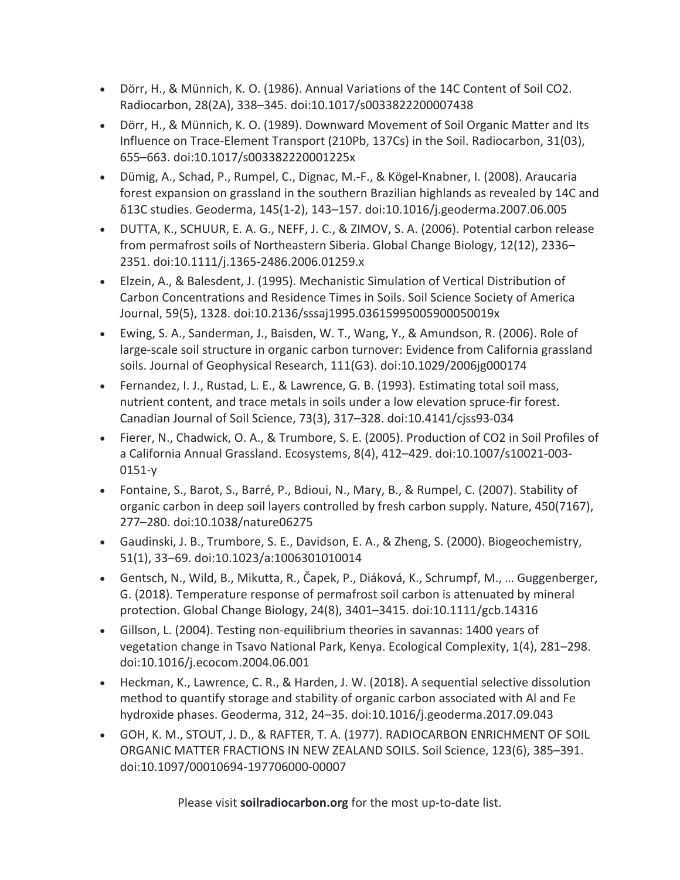- Dörr, H., & Münnich, K. O. (1986). Annual Variations of the 14C Content of Soil CO2. Radiocarbon, 28(2A), 338–345. doi:10.1017/s0033822200007438
- Dörr, H., & Münnich, K. O. (1989). Downward Movement of Soil Organic Matter and Its Influence on Trace-Element Transport (210Pb, 137Cs) in the Soil. Radiocarbon, 31(03), 655–663. doi:10.1017/s003382220001225x
- Dümig, A., Schad, P., Rumpel, C., Dignac, M.-F., & Kögel-Knabner, I. (2008). Araucaria forest expansion on grassland in the southern Brazilian highlands as revealed by 14C and δ13C studies. Geoderma, 145(1-2), 143–157. doi:10.1016/j.geoderma.2007.06.005
- DUTTA, K., SCHUUR, E. A. G., NEFF, J. C., & ZIMOV, S. A. (2006). Potential carbon release from permafrost soils of Northeastern Siberia. Global Change Biology, 12(12), 2336– 2351. doi:10.1111/j.1365-2486.2006.01259.x
- Elzein, A., & Balesdent, J. (1995). Mechanistic Simulation of Vertical Distribution of Carbon Concentrations and Residence Times in Soils. Soil Science Society of America Journal, 59(5), 1328. doi:10.2136/sssaj1995.03615995005900050019x
- Ewing, S. A., Sanderman, J., Baisden, W. T., Wang, Y., & Amundson, R. (2006). Role of large-scale soil structure in organic carbon turnover: Evidence from California grassland soils. Journal of Geophysical Research, 111(G3). doi:10.1029/2006jg000174
- Fernandez, I. J., Rustad, L. E., & Lawrence, G. B. (1993). Estimating total soil mass, nutrient content, and trace metals in soils under a low elevation spruce-fir forest. Canadian Journal of Soil Science, 73(3), 317–328. doi:10.4141/cjss93-034
- Fierer, N., Chadwick, O. A., & Trumbore, S. E. (2005). Production of CO2 in Soil Profiles of a California Annual Grassland. Ecosystems, 8(4), 412–429. doi:10.1007/s10021-003- 0151-y
- Fontaine, S., Barot, S., Barré, P., Bdioui, N., Mary, B., & Rumpel, C. (2007). Stability of organic carbon in deep soil layers controlled by fresh carbon supply. Nature, 450(7167), 277–280. doi:10.1038/nature06275
- Gaudinski, J. B., Trumbore, S. E., Davidson, E. A., & Zheng, S. (2000). Biogeochemistry, 51(1), 33–69. doi:10.1023/a:1006301010014
- Gentsch, N., Wild, B., Mikutta, R., Čapek, P., Diáková, K., Schrumpf, M., … Guggenberger, G. (2018). Temperature response of permafrost soil carbon is attenuated by mineral protection. Global Change Biology, 24(8), 3401–3415. doi:10.1111/gcb.14316
- Gillson, L. (2004). Testing non-equilibrium theories in savannas: 1400 years of vegetation change in Tsavo National Park, Kenya. Ecological Complexity, 1(4), 281–298. doi:10.1016/j.ecocom.2004.06.001
- Heckman, K., Lawrence, C. R., & Harden, J. W. (2018). A sequential selective dissolution method to quantify storage and stability of organic carbon associated with Al and Fe hydroxide phases. Geoderma, 312, 24–35. doi:10.1016/j.geoderma.2017.09.043
- GOH, K. M., STOUT, J. D., & RAFTER, T. A. (1977). RADIOCARBON ENRICHMENT OF SOIL ORGANIC MATTER FRACTIONS IN NEW ZEALAND SOILS. Soil Science, 123(6), 385–391. doi:10.1097/00010694-197706000-00007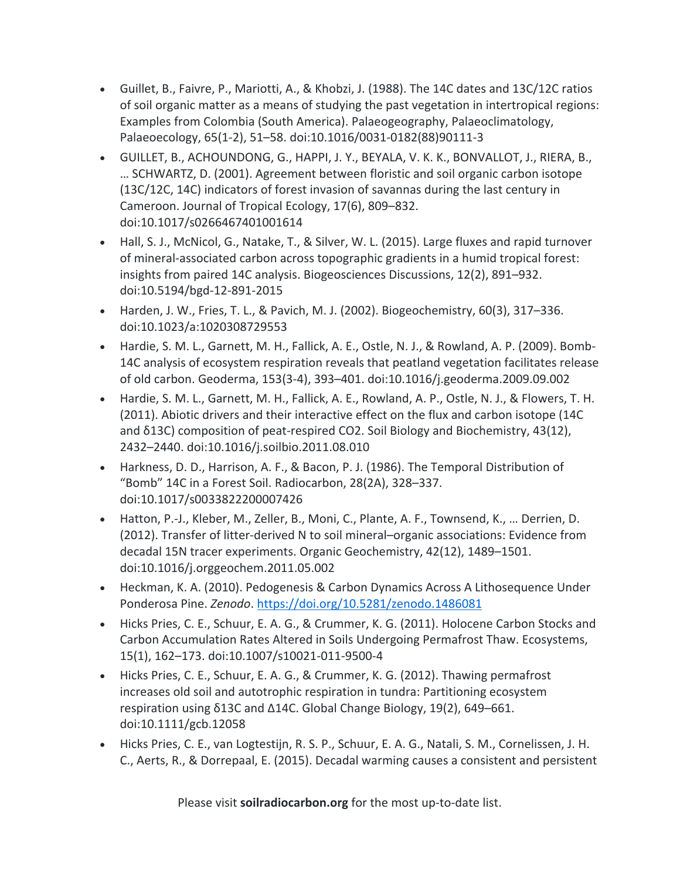- Guillet, B., Faivre, P., Mariotti, A., & Khobzi, J. (1988). The 14C dates and 13C/12C ratios of soil organic matter as a means of studying the past vegetation in intertropical regions: Examples from Colombia (South America). Palaeogeography, Palaeoclimatology, Palaeoecology, 65(1-2), 51–58. doi:10.1016/0031-0182(88)90111-3
- GUILLET, B., ACHOUNDONG, G., HAPPI, J. Y., BEYALA, V. K. K., BONVALLOT, J., RIERA, B., … SCHWARTZ, D. (2001). Agreement between floristic and soil organic carbon isotope (13C/12C, 14C) indicators of forest invasion of savannas during the last century in Cameroon. Journal of Tropical Ecology, 17(6), 809–832. doi:10.1017/s0266467401001614
- Hall, S. J., McNicol, G., Natake, T., & Silver, W. L. (2015). Large fluxes and rapid turnover of mineral-associated carbon across topographic gradients in a humid tropical forest: insights from paired 14C analysis. Biogeosciences Discussions, 12(2), 891–932. doi:10.5194/bgd-12-891-2015
- Harden, J. W., Fries, T. L., & Pavich, M. J. (2002). Biogeochemistry, 60(3), 317–336. doi:10.1023/a:1020308729553
- Hardie, S. M. L., Garnett, M. H., Fallick, A. E., Ostle, N. J., & Rowland, A. P. (2009). Bomb-14C analysis of ecosystem respiration reveals that peatland vegetation facilitates release of old carbon. Geoderma, 153(3-4), 393–401. doi:10.1016/j.geoderma.2009.09.002
- Hardie, S. M. L., Garnett, M. H., Fallick, A. E., Rowland, A. P., Ostle, N. J., & Flowers, T. H. (2011). Abiotic drivers and their interactive effect on the flux and carbon isotope (14C and δ13C) composition of peat-respired CO2. Soil Biology and Biochemistry, 43(12), 2432–2440. doi:10.1016/j.soilbio.2011.08.010
- Harkness, D. D., Harrison, A. F., & Bacon, P. J. (1986). The Temporal Distribution of "Bomb" 14C in a Forest Soil. Radiocarbon, 28(2A), 328–337. doi:10.1017/s0033822200007426
- Hatton, P.-J., Kleber, M., Zeller, B., Moni, C., Plante, A. F., Townsend, K., … Derrien, D. (2012). Transfer of litter-derived N to soil mineral–organic associations: Evidence from decadal 15N tracer experiments. Organic Geochemistry, 42(12), 1489–1501. doi:10.1016/j.orggeochem.2011.05.002
- Heckman, K. A. (2010). Pedogenesis & Carbon Dynamics Across A Lithosequence Under Ponderosa Pine. *Zenodo*. https://doi.org/10.5281/zenodo.1486081
- Hicks Pries, C. E., Schuur, E. A. G., & Crummer, K. G. (2011). Holocene Carbon Stocks and Carbon Accumulation Rates Altered in Soils Undergoing Permafrost Thaw. Ecosystems, 15(1), 162–173. doi:10.1007/s10021-011-9500-4
- Hicks Pries, C. E., Schuur, E. A. G., & Crummer, K. G. (2012). Thawing permafrost increases old soil and autotrophic respiration in tundra: Partitioning ecosystem respiration using δ13C and ∆14C. Global Change Biology, 19(2), 649–661. doi:10.1111/gcb.12058
- Hicks Pries, C. E., van Logtestijn, R. S. P., Schuur, E. A. G., Natali, S. M., Cornelissen, J. H. C., Aerts, R., & Dorrepaal, E. (2015). Decadal warming causes a consistent and persistent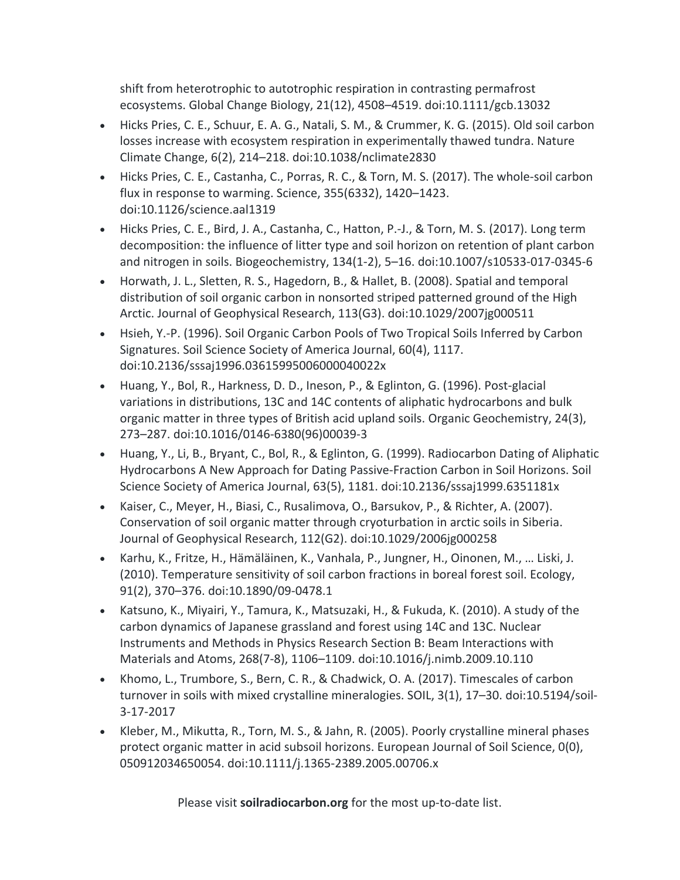shift from heterotrophic to autotrophic respiration in contrasting permafrost ecosystems. Global Change Biology, 21(12), 4508–4519. doi:10.1111/gcb.13032

- Hicks Pries, C. E., Schuur, E. A. G., Natali, S. M., & Crummer, K. G. (2015). Old soil carbon losses increase with ecosystem respiration in experimentally thawed tundra. Nature Climate Change, 6(2), 214–218. doi:10.1038/nclimate2830
- Hicks Pries, C. E., Castanha, C., Porras, R. C., & Torn, M. S. (2017). The whole-soil carbon flux in response to warming. Science, 355(6332), 1420–1423. doi:10.1126/science.aal1319
- Hicks Pries, C. E., Bird, J. A., Castanha, C., Hatton, P.-J., & Torn, M. S. (2017). Long term decomposition: the influence of litter type and soil horizon on retention of plant carbon and nitrogen in soils. Biogeochemistry, 134(1-2), 5–16. doi:10.1007/s10533-017-0345-6
- Horwath, J. L., Sletten, R. S., Hagedorn, B., & Hallet, B. (2008). Spatial and temporal distribution of soil organic carbon in nonsorted striped patterned ground of the High Arctic. Journal of Geophysical Research, 113(G3). doi:10.1029/2007jg000511
- Hsieh, Y.-P. (1996). Soil Organic Carbon Pools of Two Tropical Soils Inferred by Carbon Signatures. Soil Science Society of America Journal, 60(4), 1117. doi:10.2136/sssaj1996.03615995006000040022x
- Huang, Y., Bol, R., Harkness, D. D., Ineson, P., & Eglinton, G. (1996). Post-glacial variations in distributions, 13C and 14C contents of aliphatic hydrocarbons and bulk organic matter in three types of British acid upland soils. Organic Geochemistry, 24(3), 273–287. doi:10.1016/0146-6380(96)00039-3
- Huang, Y., Li, B., Bryant, C., Bol, R., & Eglinton, G. (1999). Radiocarbon Dating of Aliphatic Hydrocarbons A New Approach for Dating Passive-Fraction Carbon in Soil Horizons. Soil Science Society of America Journal, 63(5), 1181. doi:10.2136/sssaj1999.6351181x
- Kaiser, C., Meyer, H., Biasi, C., Rusalimova, O., Barsukov, P., & Richter, A. (2007). Conservation of soil organic matter through cryoturbation in arctic soils in Siberia. Journal of Geophysical Research, 112(G2). doi:10.1029/2006jg000258
- Karhu, K., Fritze, H., Hämäläinen, K., Vanhala, P., Jungner, H., Oinonen, M., … Liski, J. (2010). Temperature sensitivity of soil carbon fractions in boreal forest soil. Ecology, 91(2), 370–376. doi:10.1890/09-0478.1
- Katsuno, K., Miyairi, Y., Tamura, K., Matsuzaki, H., & Fukuda, K. (2010). A study of the carbon dynamics of Japanese grassland and forest using 14C and 13C. Nuclear Instruments and Methods in Physics Research Section B: Beam Interactions with Materials and Atoms, 268(7-8), 1106–1109. doi:10.1016/j.nimb.2009.10.110
- Khomo, L., Trumbore, S., Bern, C. R., & Chadwick, O. A. (2017). Timescales of carbon turnover in soils with mixed crystalline mineralogies. SOIL, 3(1), 17–30. doi:10.5194/soil-3-17-2017
- Kleber, M., Mikutta, R., Torn, M. S., & Jahn, R. (2005). Poorly crystalline mineral phases protect organic matter in acid subsoil horizons. European Journal of Soil Science, 0(0), 050912034650054. doi:10.1111/j.1365-2389.2005.00706.x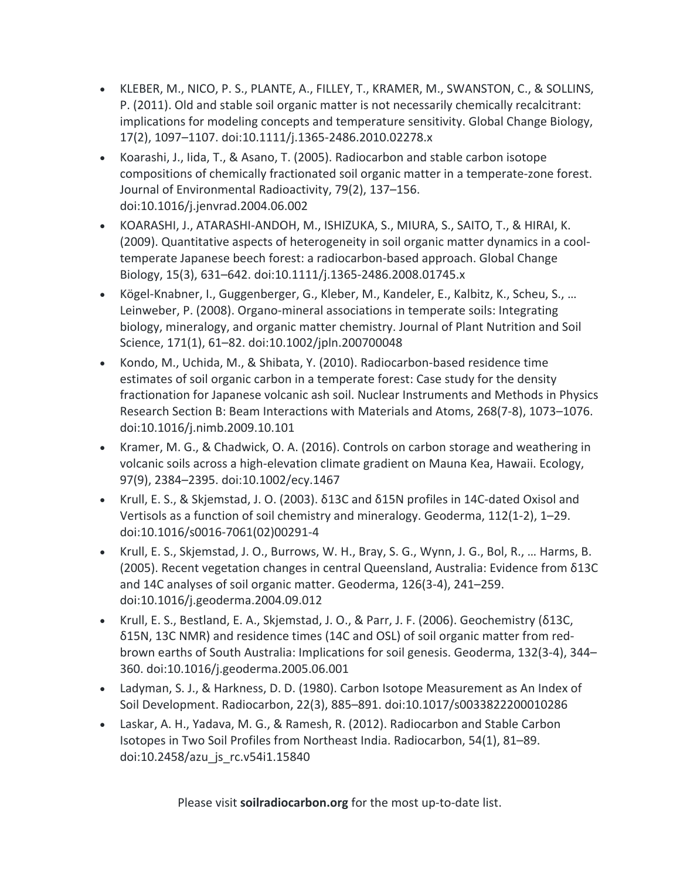- KLEBER, M., NICO, P. S., PLANTE, A., FILLEY, T., KRAMER, M., SWANSTON, C., & SOLLINS, P. (2011). Old and stable soil organic matter is not necessarily chemically recalcitrant: implications for modeling concepts and temperature sensitivity. Global Change Biology, 17(2), 1097–1107. doi:10.1111/j.1365-2486.2010.02278.x
- Koarashi, J., Iida, T., & Asano, T. (2005). Radiocarbon and stable carbon isotope compositions of chemically fractionated soil organic matter in a temperate-zone forest. Journal of Environmental Radioactivity, 79(2), 137–156. doi:10.1016/j.jenvrad.2004.06.002
- KOARASHI, J., ATARASHI-ANDOH, M., ISHIZUKA, S., MIURA, S., SAITO, T., & HIRAI, K. (2009). Quantitative aspects of heterogeneity in soil organic matter dynamics in a cooltemperate Japanese beech forest: a radiocarbon-based approach. Global Change Biology, 15(3), 631–642. doi:10.1111/j.1365-2486.2008.01745.x
- Kögel-Knabner, I., Guggenberger, G., Kleber, M., Kandeler, E., Kalbitz, K., Scheu, S., … Leinweber, P. (2008). Organo-mineral associations in temperate soils: Integrating biology, mineralogy, and organic matter chemistry. Journal of Plant Nutrition and Soil Science, 171(1), 61–82. doi:10.1002/jpln.200700048
- Kondo, M., Uchida, M., & Shibata, Y. (2010). Radiocarbon-based residence time estimates of soil organic carbon in a temperate forest: Case study for the density fractionation for Japanese volcanic ash soil. Nuclear Instruments and Methods in Physics Research Section B: Beam Interactions with Materials and Atoms, 268(7-8), 1073–1076. doi:10.1016/j.nimb.2009.10.101
- Kramer, M. G., & Chadwick, O. A. (2016). Controls on carbon storage and weathering in volcanic soils across a high-elevation climate gradient on Mauna Kea, Hawaii. Ecology, 97(9), 2384–2395. doi:10.1002/ecy.1467
- Krull, E. S., & Skjemstad, J. O. (2003). δ13C and δ15N profiles in 14C-dated Oxisol and Vertisols as a function of soil chemistry and mineralogy. Geoderma, 112(1-2), 1–29. doi:10.1016/s0016-7061(02)00291-4
- Krull, E. S., Skjemstad, J. O., Burrows, W. H., Bray, S. G., Wynn, J. G., Bol, R., … Harms, B. (2005). Recent vegetation changes in central Queensland, Australia: Evidence from δ13C and 14C analyses of soil organic matter. Geoderma, 126(3-4), 241–259. doi:10.1016/j.geoderma.2004.09.012
- Krull, E. S., Bestland, E. A., Skjemstad, J. O., & Parr, J. F. (2006). Geochemistry (δ13C, δ15N, 13C NMR) and residence times (14C and OSL) of soil organic matter from redbrown earths of South Australia: Implications for soil genesis. Geoderma, 132(3-4), 344– 360. doi:10.1016/j.geoderma.2005.06.001
- Ladyman, S. J., & Harkness, D. D. (1980). Carbon Isotope Measurement as An Index of Soil Development. Radiocarbon, 22(3), 885–891. doi:10.1017/s0033822200010286
- Laskar, A. H., Yadava, M. G., & Ramesh, R. (2012). Radiocarbon and Stable Carbon Isotopes in Two Soil Profiles from Northeast India. Radiocarbon, 54(1), 81–89. doi:10.2458/azu\_js\_rc.v54i1.15840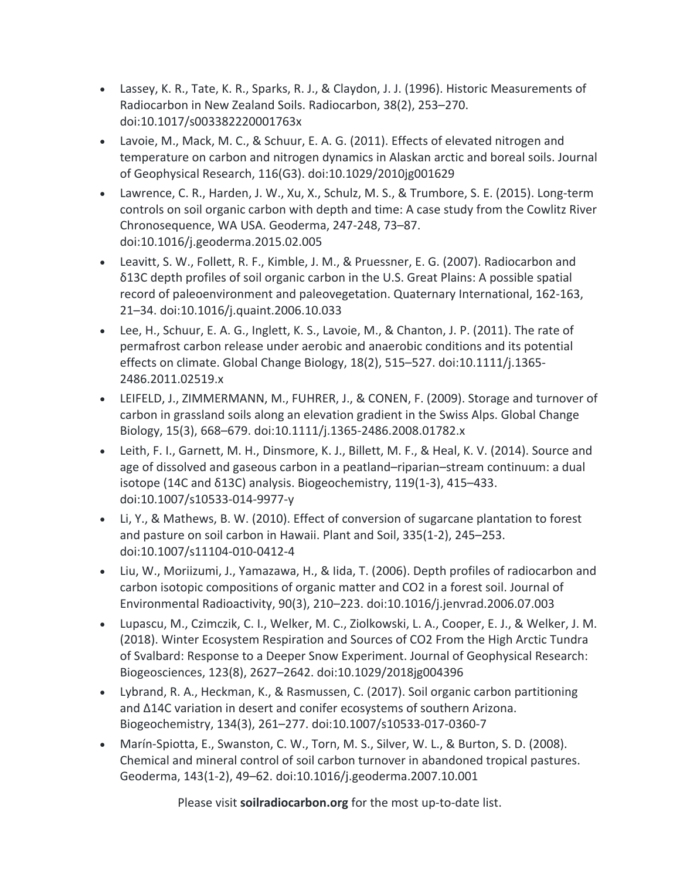- Lassey, K. R., Tate, K. R., Sparks, R. J., & Claydon, J. J. (1996). Historic Measurements of Radiocarbon in New Zealand Soils. Radiocarbon, 38(2), 253–270. doi:10.1017/s003382220001763x
- Lavoie, M., Mack, M. C., & Schuur, E. A. G. (2011). Effects of elevated nitrogen and temperature on carbon and nitrogen dynamics in Alaskan arctic and boreal soils. Journal of Geophysical Research, 116(G3). doi:10.1029/2010jg001629
- Lawrence, C. R., Harden, J. W., Xu, X., Schulz, M. S., & Trumbore, S. E. (2015). Long-term controls on soil organic carbon with depth and time: A case study from the Cowlitz River Chronosequence, WA USA. Geoderma, 247-248, 73–87. doi:10.1016/j.geoderma.2015.02.005
- Leavitt, S. W., Follett, R. F., Kimble, J. M., & Pruessner, E. G. (2007). Radiocarbon and δ13C depth profiles of soil organic carbon in the U.S. Great Plains: A possible spatial record of paleoenvironment and paleovegetation. Quaternary International, 162-163, 21–34. doi:10.1016/j.quaint.2006.10.033
- Lee, H., Schuur, E. A. G., Inglett, K. S., Lavoie, M., & Chanton, J. P. (2011). The rate of permafrost carbon release under aerobic and anaerobic conditions and its potential effects on climate. Global Change Biology, 18(2), 515–527. doi:10.1111/j.1365- 2486.2011.02519.x
- LEIFELD, J., ZIMMERMANN, M., FUHRER, J., & CONEN, F. (2009). Storage and turnover of carbon in grassland soils along an elevation gradient in the Swiss Alps. Global Change Biology, 15(3), 668–679. doi:10.1111/j.1365-2486.2008.01782.x
- Leith, F. I., Garnett, M. H., Dinsmore, K. J., Billett, M. F., & Heal, K. V. (2014). Source and age of dissolved and gaseous carbon in a peatland–riparian–stream continuum: a dual isotope (14C and  $\delta$ 13C) analysis. Biogeochemistry, 119(1-3), 415–433. doi:10.1007/s10533-014-9977-y
- Li, Y., & Mathews, B. W. (2010). Effect of conversion of sugarcane plantation to forest and pasture on soil carbon in Hawaii. Plant and Soil, 335(1-2), 245–253. doi:10.1007/s11104-010-0412-4
- Liu, W., Moriizumi, J., Yamazawa, H., & Iida, T. (2006). Depth profiles of radiocarbon and carbon isotopic compositions of organic matter and CO2 in a forest soil. Journal of Environmental Radioactivity, 90(3), 210–223. doi:10.1016/j.jenvrad.2006.07.003
- Lupascu, M., Czimczik, C. I., Welker, M. C., Ziolkowski, L. A., Cooper, E. J., & Welker, J. M. (2018). Winter Ecosystem Respiration and Sources of CO2 From the High Arctic Tundra of Svalbard: Response to a Deeper Snow Experiment. Journal of Geophysical Research: Biogeosciences, 123(8), 2627–2642. doi:10.1029/2018jg004396
- Lybrand, R. A., Heckman, K., & Rasmussen, C. (2017). Soil organic carbon partitioning and Δ14C variation in desert and conifer ecosystems of southern Arizona. Biogeochemistry, 134(3), 261–277. doi:10.1007/s10533-017-0360-7
- Marín-Spiotta, E., Swanston, C. W., Torn, M. S., Silver, W. L., & Burton, S. D. (2008). Chemical and mineral control of soil carbon turnover in abandoned tropical pastures. Geoderma, 143(1-2), 49–62. doi:10.1016/j.geoderma.2007.10.001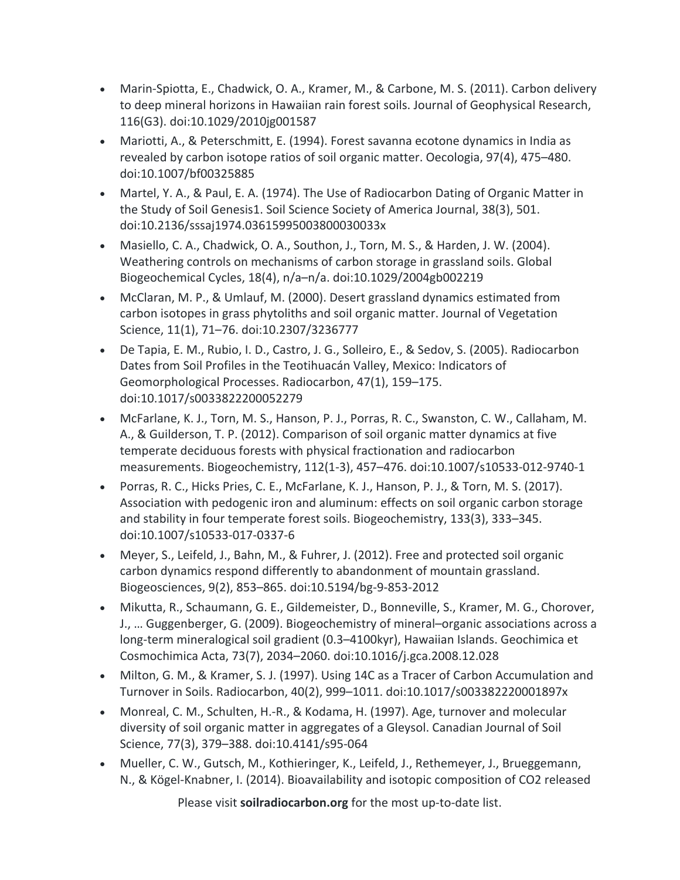- Marin-Spiotta, E., Chadwick, O. A., Kramer, M., & Carbone, M. S. (2011). Carbon delivery to deep mineral horizons in Hawaiian rain forest soils. Journal of Geophysical Research, 116(G3). doi:10.1029/2010jg001587
- Mariotti, A., & Peterschmitt, E. (1994). Forest savanna ecotone dynamics in India as revealed by carbon isotope ratios of soil organic matter. Oecologia, 97(4), 475–480. doi:10.1007/bf00325885
- Martel, Y. A., & Paul, E. A. (1974). The Use of Radiocarbon Dating of Organic Matter in the Study of Soil Genesis1. Soil Science Society of America Journal, 38(3), 501. doi:10.2136/sssaj1974.03615995003800030033x
- Masiello, C. A., Chadwick, O. A., Southon, J., Torn, M. S., & Harden, J. W. (2004). Weathering controls on mechanisms of carbon storage in grassland soils. Global Biogeochemical Cycles, 18(4), n/a–n/a. doi:10.1029/2004gb002219
- McClaran, M. P., & Umlauf, M. (2000). Desert grassland dynamics estimated from carbon isotopes in grass phytoliths and soil organic matter. Journal of Vegetation Science, 11(1), 71–76. doi:10.2307/3236777
- De Tapia, E. M., Rubio, I. D., Castro, J. G., Solleiro, E., & Sedov, S. (2005). Radiocarbon Dates from Soil Profiles in the Teotihuacán Valley, Mexico: Indicators of Geomorphological Processes. Radiocarbon, 47(1), 159–175. doi:10.1017/s0033822200052279
- McFarlane, K. J., Torn, M. S., Hanson, P. J., Porras, R. C., Swanston, C. W., Callaham, M. A., & Guilderson, T. P. (2012). Comparison of soil organic matter dynamics at five temperate deciduous forests with physical fractionation and radiocarbon measurements. Biogeochemistry, 112(1-3), 457–476. doi:10.1007/s10533-012-9740-1
- Porras, R. C., Hicks Pries, C. E., McFarlane, K. J., Hanson, P. J., & Torn, M. S. (2017). Association with pedogenic iron and aluminum: effects on soil organic carbon storage and stability in four temperate forest soils. Biogeochemistry, 133(3), 333–345. doi:10.1007/s10533-017-0337-6
- Meyer, S., Leifeld, J., Bahn, M., & Fuhrer, J. (2012). Free and protected soil organic carbon dynamics respond differently to abandonment of mountain grassland. Biogeosciences, 9(2), 853–865. doi:10.5194/bg-9-853-2012
- Mikutta, R., Schaumann, G. E., Gildemeister, D., Bonneville, S., Kramer, M. G., Chorover, J., … Guggenberger, G. (2009). Biogeochemistry of mineral–organic associations across a long-term mineralogical soil gradient (0.3–4100kyr), Hawaiian Islands. Geochimica et Cosmochimica Acta, 73(7), 2034–2060. doi:10.1016/j.gca.2008.12.028
- Milton, G. M., & Kramer, S. J. (1997). Using 14C as a Tracer of Carbon Accumulation and Turnover in Soils. Radiocarbon, 40(2), 999–1011. doi:10.1017/s003382220001897x
- Monreal, C. M., Schulten, H.-R., & Kodama, H. (1997). Age, turnover and molecular diversity of soil organic matter in aggregates of a Gleysol. Canadian Journal of Soil Science, 77(3), 379–388. doi:10.4141/s95-064
- Mueller, C. W., Gutsch, M., Kothieringer, K., Leifeld, J., Rethemeyer, J., Brueggemann, N., & Kögel-Knabner, I. (2014). Bioavailability and isotopic composition of CO2 released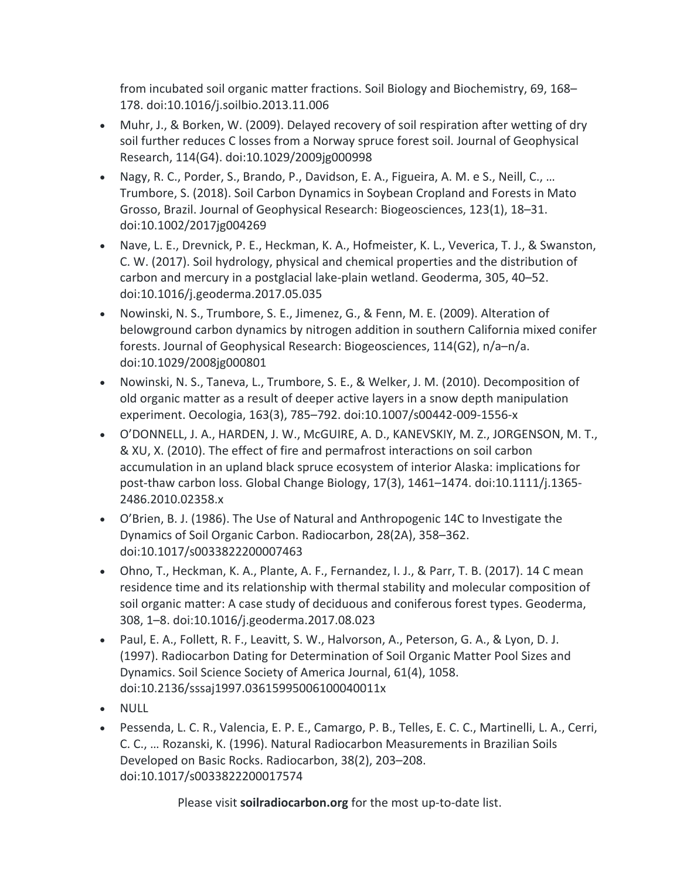from incubated soil organic matter fractions. Soil Biology and Biochemistry, 69, 168– 178. doi:10.1016/j.soilbio.2013.11.006

- Muhr, J., & Borken, W. (2009). Delayed recovery of soil respiration after wetting of dry soil further reduces C losses from a Norway spruce forest soil. Journal of Geophysical Research, 114(G4). doi:10.1029/2009jg000998
- Nagy, R. C., Porder, S., Brando, P., Davidson, E. A., Figueira, A. M. e S., Neill, C., … Trumbore, S. (2018). Soil Carbon Dynamics in Soybean Cropland and Forests in Mato Grosso, Brazil. Journal of Geophysical Research: Biogeosciences, 123(1), 18–31. doi:10.1002/2017jg004269
- Nave, L. E., Drevnick, P. E., Heckman, K. A., Hofmeister, K. L., Veverica, T. J., & Swanston, C. W. (2017). Soil hydrology, physical and chemical properties and the distribution of carbon and mercury in a postglacial lake-plain wetland. Geoderma, 305, 40–52. doi:10.1016/j.geoderma.2017.05.035
- Nowinski, N. S., Trumbore, S. E., Jimenez, G., & Fenn, M. E. (2009). Alteration of belowground carbon dynamics by nitrogen addition in southern California mixed conifer forests. Journal of Geophysical Research: Biogeosciences, 114(G2), n/a–n/a. doi:10.1029/2008jg000801
- Nowinski, N. S., Taneva, L., Trumbore, S. E., & Welker, J. M. (2010). Decomposition of old organic matter as a result of deeper active layers in a snow depth manipulation experiment. Oecologia, 163(3), 785–792. doi:10.1007/s00442-009-1556-x
- O'DONNELL, J. A., HARDEN, J. W., McGUIRE, A. D., KANEVSKIY, M. Z., JORGENSON, M. T., & XU, X. (2010). The effect of fire and permafrost interactions on soil carbon accumulation in an upland black spruce ecosystem of interior Alaska: implications for post-thaw carbon loss. Global Change Biology, 17(3), 1461–1474. doi:10.1111/j.1365- 2486.2010.02358.x
- O'Brien, B. J. (1986). The Use of Natural and Anthropogenic 14C to Investigate the Dynamics of Soil Organic Carbon. Radiocarbon, 28(2A), 358–362. doi:10.1017/s0033822200007463
- Ohno, T., Heckman, K. A., Plante, A. F., Fernandez, I. J., & Parr, T. B. (2017). 14 C mean residence time and its relationship with thermal stability and molecular composition of soil organic matter: A case study of deciduous and coniferous forest types. Geoderma, 308, 1–8. doi:10.1016/j.geoderma.2017.08.023
- Paul, E. A., Follett, R. F., Leavitt, S. W., Halvorson, A., Peterson, G. A., & Lyon, D. J. (1997). Radiocarbon Dating for Determination of Soil Organic Matter Pool Sizes and Dynamics. Soil Science Society of America Journal, 61(4), 1058. doi:10.2136/sssaj1997.03615995006100040011x
- NULL
- Pessenda, L. C. R., Valencia, E. P. E., Camargo, P. B., Telles, E. C. C., Martinelli, L. A., Cerri, C. C., … Rozanski, K. (1996). Natural Radiocarbon Measurements in Brazilian Soils Developed on Basic Rocks. Radiocarbon, 38(2), 203–208. doi:10.1017/s0033822200017574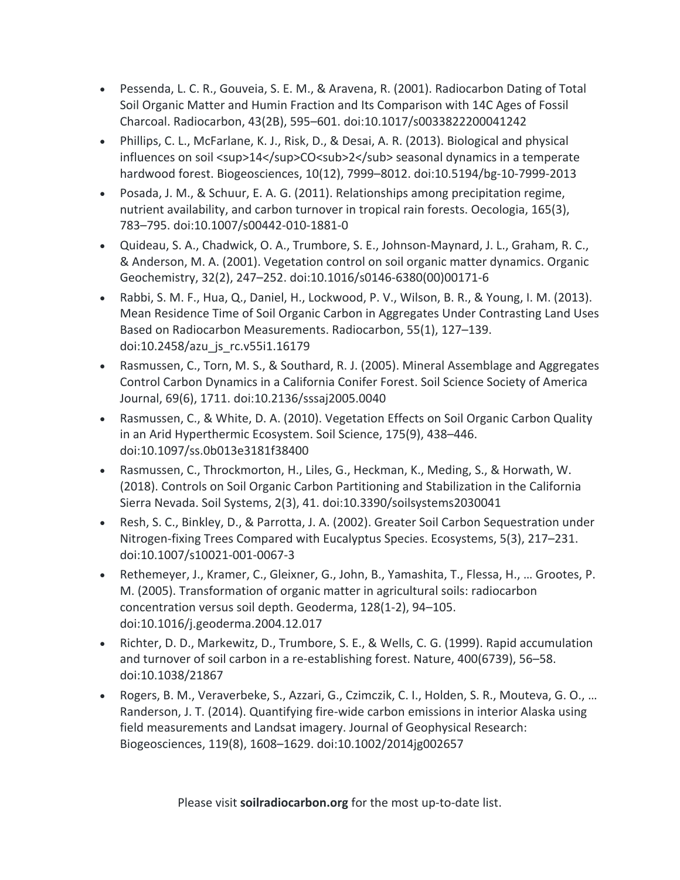- Pessenda, L. C. R., Gouveia, S. E. M., & Aravena, R. (2001). Radiocarbon Dating of Total Soil Organic Matter and Humin Fraction and Its Comparison with 14C Ages of Fossil Charcoal. Radiocarbon, 43(2B), 595–601. doi:10.1017/s0033822200041242
- Phillips, C. L., McFarlane, K. J., Risk, D., & Desai, A. R. (2013). Biological and physical influences on soil <sup>14</sup>CO<sub>2</sub> seasonal dynamics in a temperate hardwood forest. Biogeosciences, 10(12), 7999–8012. doi:10.5194/bg-10-7999-2013
- Posada, J. M., & Schuur, E. A. G. (2011). Relationships among precipitation regime, nutrient availability, and carbon turnover in tropical rain forests. Oecologia, 165(3), 783–795. doi:10.1007/s00442-010-1881-0
- Quideau, S. A., Chadwick, O. A., Trumbore, S. E., Johnson-Maynard, J. L., Graham, R. C., & Anderson, M. A. (2001). Vegetation control on soil organic matter dynamics. Organic Geochemistry, 32(2), 247–252. doi:10.1016/s0146-6380(00)00171-6
- Rabbi, S. M. F., Hua, Q., Daniel, H., Lockwood, P. V., Wilson, B. R., & Young, I. M. (2013). Mean Residence Time of Soil Organic Carbon in Aggregates Under Contrasting Land Uses Based on Radiocarbon Measurements. Radiocarbon, 55(1), 127–139. doi:10.2458/azu\_js\_rc.v55i1.16179
- Rasmussen, C., Torn, M. S., & Southard, R. J. (2005). Mineral Assemblage and Aggregates Control Carbon Dynamics in a California Conifer Forest. Soil Science Society of America Journal, 69(6), 1711. doi:10.2136/sssaj2005.0040
- Rasmussen, C., & White, D. A. (2010). Vegetation Effects on Soil Organic Carbon Quality in an Arid Hyperthermic Ecosystem. Soil Science, 175(9), 438–446. doi:10.1097/ss.0b013e3181f38400
- Rasmussen, C., Throckmorton, H., Liles, G., Heckman, K., Meding, S., & Horwath, W. (2018). Controls on Soil Organic Carbon Partitioning and Stabilization in the California Sierra Nevada. Soil Systems, 2(3), 41. doi:10.3390/soilsystems2030041
- Resh, S. C., Binkley, D., & Parrotta, J. A. (2002). Greater Soil Carbon Sequestration under Nitrogen-fixing Trees Compared with Eucalyptus Species. Ecosystems, 5(3), 217–231. doi:10.1007/s10021-001-0067-3
- Rethemeyer, J., Kramer, C., Gleixner, G., John, B., Yamashita, T., Flessa, H., … Grootes, P. M. (2005). Transformation of organic matter in agricultural soils: radiocarbon concentration versus soil depth. Geoderma, 128(1-2), 94–105. doi:10.1016/j.geoderma.2004.12.017
- Richter, D. D., Markewitz, D., Trumbore, S. E., & Wells, C. G. (1999). Rapid accumulation and turnover of soil carbon in a re-establishing forest. Nature, 400(6739), 56–58. doi:10.1038/21867
- Rogers, B. M., Veraverbeke, S., Azzari, G., Czimczik, C. I., Holden, S. R., Mouteva, G. O., … Randerson, J. T. (2014). Quantifying fire-wide carbon emissions in interior Alaska using field measurements and Landsat imagery. Journal of Geophysical Research: Biogeosciences, 119(8), 1608–1629. doi:10.1002/2014jg002657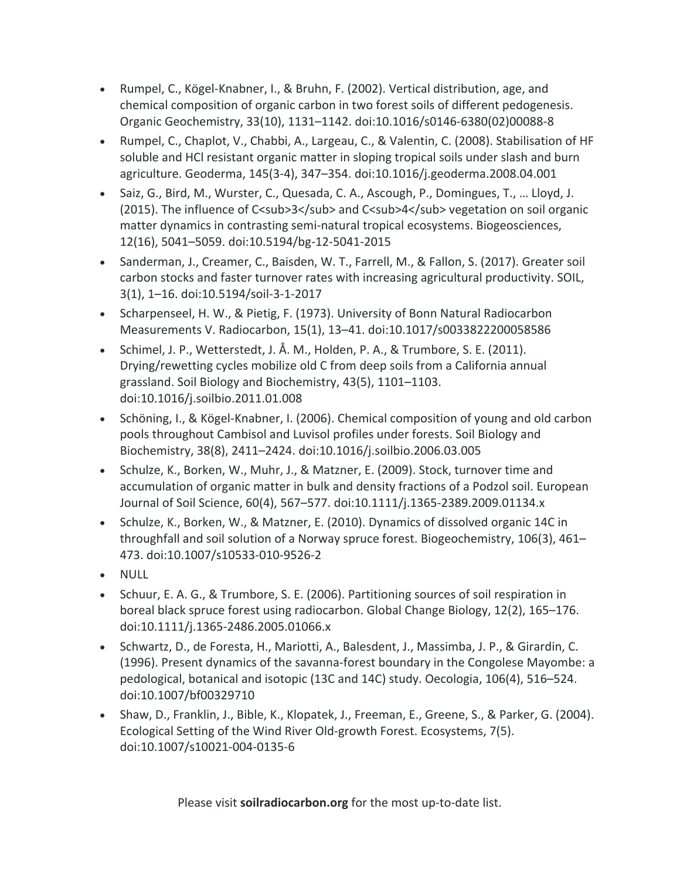- Rumpel, C., Kögel-Knabner, I., & Bruhn, F. (2002). Vertical distribution, age, and chemical composition of organic carbon in two forest soils of different pedogenesis. Organic Geochemistry, 33(10), 1131–1142. doi:10.1016/s0146-6380(02)00088-8
- Rumpel, C., Chaplot, V., Chabbi, A., Largeau, C., & Valentin, C. (2008). Stabilisation of HF soluble and HCl resistant organic matter in sloping tropical soils under slash and burn agriculture. Geoderma, 145(3-4), 347–354. doi:10.1016/j.geoderma.2008.04.001
- Saiz, G., Bird, M., Wurster, C., Quesada, C. A., Ascough, P., Domingues, T., … Lloyd, J. (2015). The influence of C<sub>3</sub> and C<sub>4</sub> vegetation on soil organic matter dynamics in contrasting semi-natural tropical ecosystems. Biogeosciences, 12(16), 5041–5059. doi:10.5194/bg-12-5041-2015
- Sanderman, J., Creamer, C., Baisden, W. T., Farrell, M., & Fallon, S. (2017). Greater soil carbon stocks and faster turnover rates with increasing agricultural productivity. SOIL, 3(1), 1–16. doi:10.5194/soil-3-1-2017
- Scharpenseel, H. W., & Pietig, F. (1973). University of Bonn Natural Radiocarbon Measurements V. Radiocarbon, 15(1), 13–41. doi:10.1017/s0033822200058586
- Schimel, J. P., Wetterstedt, J. Å. M., Holden, P. A., & Trumbore, S. E. (2011). Drying/rewetting cycles mobilize old C from deep soils from a California annual grassland. Soil Biology and Biochemistry, 43(5), 1101–1103. doi:10.1016/j.soilbio.2011.01.008
- Schöning, I., & Kögel-Knabner, I. (2006). Chemical composition of young and old carbon pools throughout Cambisol and Luvisol profiles under forests. Soil Biology and Biochemistry, 38(8), 2411–2424. doi:10.1016/j.soilbio.2006.03.005
- Schulze, K., Borken, W., Muhr, J., & Matzner, E. (2009). Stock, turnover time and accumulation of organic matter in bulk and density fractions of a Podzol soil. European Journal of Soil Science, 60(4), 567–577. doi:10.1111/j.1365-2389.2009.01134.x
- Schulze, K., Borken, W., & Matzner, E. (2010). Dynamics of dissolved organic 14C in throughfall and soil solution of a Norway spruce forest. Biogeochemistry, 106(3), 461– 473. doi:10.1007/s10533-010-9526-2
- NULL
- Schuur, E. A. G., & Trumbore, S. E. (2006). Partitioning sources of soil respiration in boreal black spruce forest using radiocarbon. Global Change Biology, 12(2), 165–176. doi:10.1111/j.1365-2486.2005.01066.x
- Schwartz, D., de Foresta, H., Mariotti, A., Balesdent, J., Massimba, J. P., & Girardin, C. (1996). Present dynamics of the savanna-forest boundary in the Congolese Mayombe: a pedological, botanical and isotopic (13C and 14C) study. Oecologia, 106(4), 516–524. doi:10.1007/bf00329710
- Shaw, D., Franklin, J., Bible, K., Klopatek, J., Freeman, E., Greene, S., & Parker, G. (2004). Ecological Setting of the Wind River Old-growth Forest. Ecosystems, 7(5). doi:10.1007/s10021-004-0135-6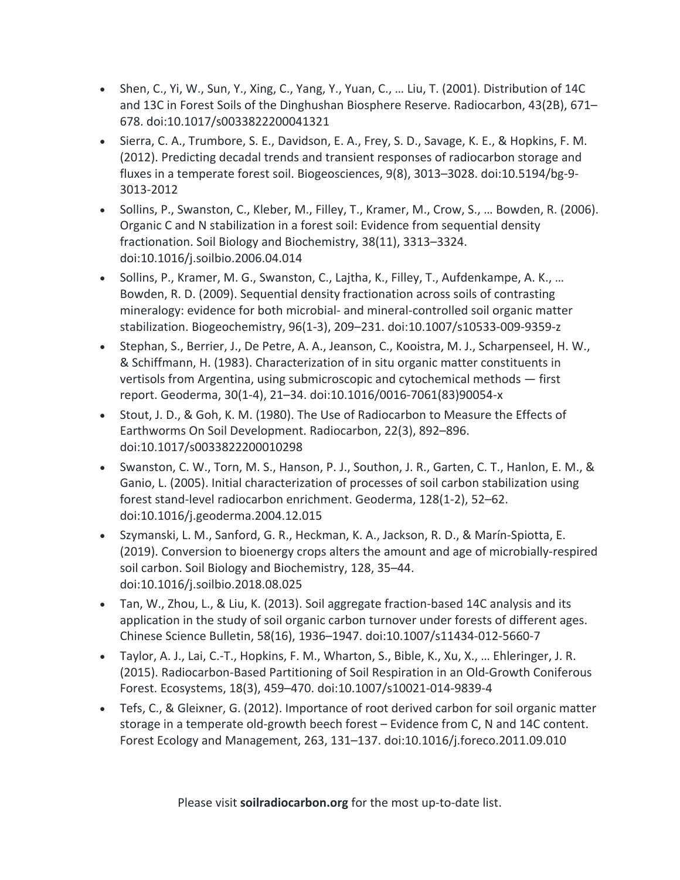- Shen, C., Yi, W., Sun, Y., Xing, C., Yang, Y., Yuan, C., … Liu, T. (2001). Distribution of 14C and 13C in Forest Soils of the Dinghushan Biosphere Reserve. Radiocarbon, 43(2B), 671– 678. doi:10.1017/s0033822200041321
- Sierra, C. A., Trumbore, S. E., Davidson, E. A., Frey, S. D., Savage, K. E., & Hopkins, F. M. (2012). Predicting decadal trends and transient responses of radiocarbon storage and fluxes in a temperate forest soil. Biogeosciences, 9(8), 3013–3028. doi:10.5194/bg-9- 3013-2012
- Sollins, P., Swanston, C., Kleber, M., Filley, T., Kramer, M., Crow, S., … Bowden, R. (2006). Organic C and N stabilization in a forest soil: Evidence from sequential density fractionation. Soil Biology and Biochemistry, 38(11), 3313–3324. doi:10.1016/j.soilbio.2006.04.014
- Sollins, P., Kramer, M. G., Swanston, C., Lajtha, K., Filley, T., Aufdenkampe, A. K., … Bowden, R. D. (2009). Sequential density fractionation across soils of contrasting mineralogy: evidence for both microbial- and mineral-controlled soil organic matter stabilization. Biogeochemistry, 96(1-3), 209–231. doi:10.1007/s10533-009-9359-z
- Stephan, S., Berrier, J., De Petre, A. A., Jeanson, C., Kooistra, M. J., Scharpenseel, H. W., & Schiffmann, H. (1983). Characterization of in situ organic matter constituents in vertisols from Argentina, using submicroscopic and cytochemical methods — first report. Geoderma, 30(1-4), 21–34. doi:10.1016/0016-7061(83)90054-x
- Stout, J. D., & Goh, K. M. (1980). The Use of Radiocarbon to Measure the Effects of Earthworms On Soil Development. Radiocarbon, 22(3), 892–896. doi:10.1017/s0033822200010298
- Swanston, C. W., Torn, M. S., Hanson, P. J., Southon, J. R., Garten, C. T., Hanlon, E. M., & Ganio, L. (2005). Initial characterization of processes of soil carbon stabilization using forest stand-level radiocarbon enrichment. Geoderma, 128(1-2), 52–62. doi:10.1016/j.geoderma.2004.12.015
- Szymanski, L. M., Sanford, G. R., Heckman, K. A., Jackson, R. D., & Marín-Spiotta, E. (2019). Conversion to bioenergy crops alters the amount and age of microbially-respired soil carbon. Soil Biology and Biochemistry, 128, 35–44. doi:10.1016/j.soilbio.2018.08.025
- Tan, W., Zhou, L., & Liu, K. (2013). Soil aggregate fraction-based 14C analysis and its application in the study of soil organic carbon turnover under forests of different ages. Chinese Science Bulletin, 58(16), 1936–1947. doi:10.1007/s11434-012-5660-7
- Taylor, A. J., Lai, C.-T., Hopkins, F. M., Wharton, S., Bible, K., Xu, X., … Ehleringer, J. R. (2015). Radiocarbon-Based Partitioning of Soil Respiration in an Old-Growth Coniferous Forest. Ecosystems, 18(3), 459–470. doi:10.1007/s10021-014-9839-4
- Tefs, C., & Gleixner, G. (2012). Importance of root derived carbon for soil organic matter storage in a temperate old-growth beech forest – Evidence from C, N and 14C content. Forest Ecology and Management, 263, 131–137. doi:10.1016/j.foreco.2011.09.010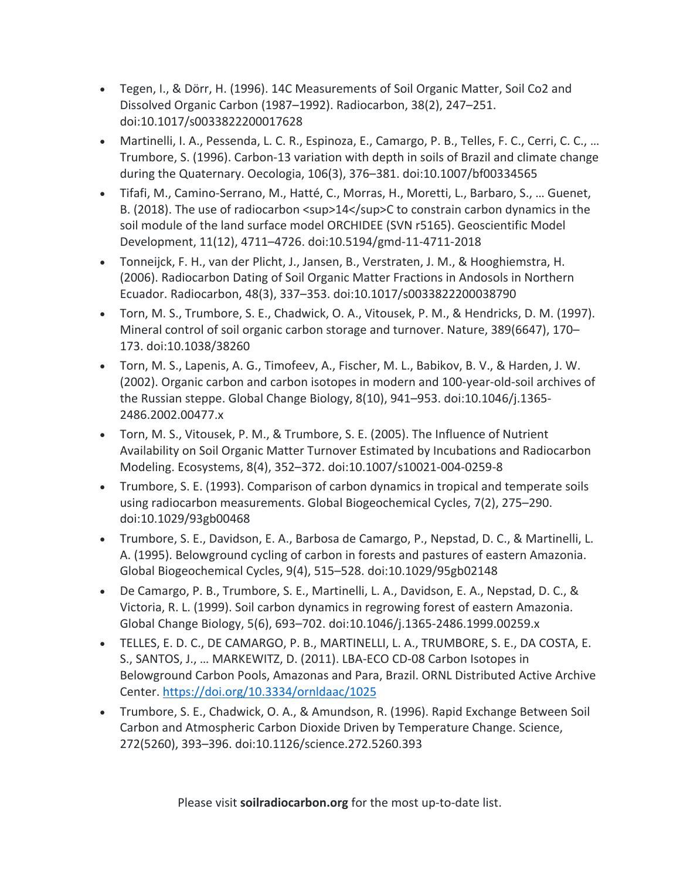- Tegen, I., & Dörr, H. (1996). 14C Measurements of Soil Organic Matter, Soil Co2 and Dissolved Organic Carbon (1987–1992). Radiocarbon, 38(2), 247–251. doi:10.1017/s0033822200017628
- Martinelli, I. A., Pessenda, L. C. R., Espinoza, E., Camargo, P. B., Telles, F. C., Cerri, C. C., … Trumbore, S. (1996). Carbon-13 variation with depth in soils of Brazil and climate change during the Quaternary. Oecologia, 106(3), 376–381. doi:10.1007/bf00334565
- Tifafi, M., Camino-Serrano, M., Hatté, C., Morras, H., Moretti, L., Barbaro, S., … Guenet, B. (2018). The use of radiocarbon <sup>14</sup>C to constrain carbon dynamics in the soil module of the land surface model ORCHIDEE (SVN r5165). Geoscientific Model Development, 11(12), 4711–4726. doi:10.5194/gmd-11-4711-2018
- Tonneijck, F. H., van der Plicht, J., Jansen, B., Verstraten, J. M., & Hooghiemstra, H. (2006). Radiocarbon Dating of Soil Organic Matter Fractions in Andosols in Northern Ecuador. Radiocarbon, 48(3), 337–353. doi:10.1017/s0033822200038790
- Torn, M. S., Trumbore, S. E., Chadwick, O. A., Vitousek, P. M., & Hendricks, D. M. (1997). Mineral control of soil organic carbon storage and turnover. Nature, 389(6647), 170– 173. doi:10.1038/38260
- Torn, M. S., Lapenis, A. G., Timofeev, A., Fischer, M. L., Babikov, B. V., & Harden, J. W. (2002). Organic carbon and carbon isotopes in modern and 100-year-old-soil archives of the Russian steppe. Global Change Biology, 8(10), 941–953. doi:10.1046/j.1365- 2486.2002.00477.x
- Torn, M. S., Vitousek, P. M., & Trumbore, S. E. (2005). The Influence of Nutrient Availability on Soil Organic Matter Turnover Estimated by Incubations and Radiocarbon Modeling. Ecosystems, 8(4), 352–372. doi:10.1007/s10021-004-0259-8
- Trumbore, S. E. (1993). Comparison of carbon dynamics in tropical and temperate soils using radiocarbon measurements. Global Biogeochemical Cycles, 7(2), 275–290. doi:10.1029/93gb00468
- Trumbore, S. E., Davidson, E. A., Barbosa de Camargo, P., Nepstad, D. C., & Martinelli, L. A. (1995). Belowground cycling of carbon in forests and pastures of eastern Amazonia. Global Biogeochemical Cycles, 9(4), 515–528. doi:10.1029/95gb02148
- De Camargo, P. B., Trumbore, S. E., Martinelli, L. A., Davidson, E. A., Nepstad, D. C., & Victoria, R. L. (1999). Soil carbon dynamics in regrowing forest of eastern Amazonia. Global Change Biology, 5(6), 693–702. doi:10.1046/j.1365-2486.1999.00259.x
- TELLES, E. D. C., DE CAMARGO, P. B., MARTINELLI, L. A., TRUMBORE, S. E., DA COSTA, E. S., SANTOS, J., … MARKEWITZ, D. (2011). LBA-ECO CD-08 Carbon Isotopes in Belowground Carbon Pools, Amazonas and Para, Brazil. ORNL Distributed Active Archive Center. https://doi.org/10.3334/ornldaac/1025
- Trumbore, S. E., Chadwick, O. A., & Amundson, R. (1996). Rapid Exchange Between Soil Carbon and Atmospheric Carbon Dioxide Driven by Temperature Change. Science, 272(5260), 393–396. doi:10.1126/science.272.5260.393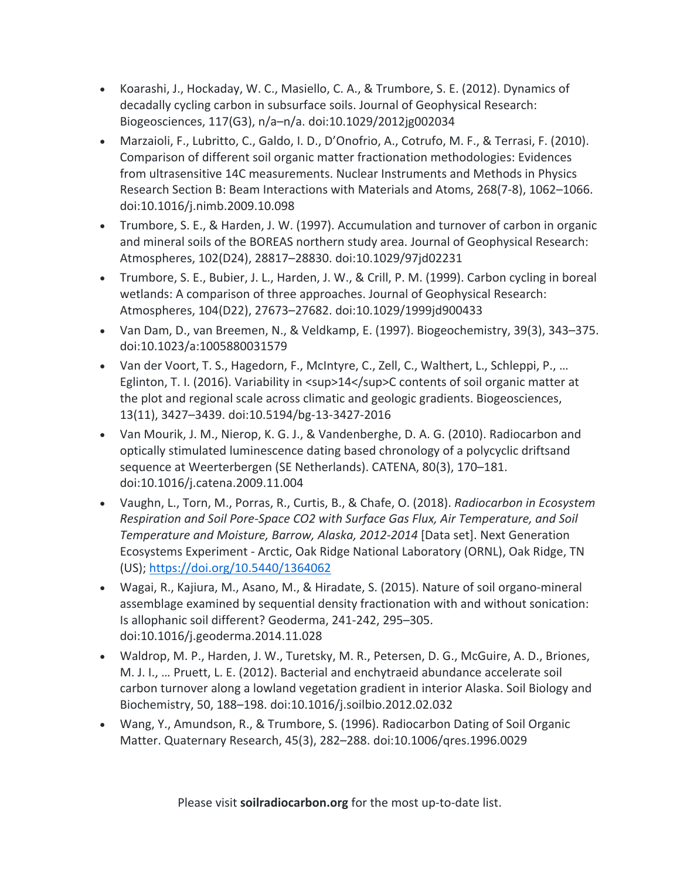- Koarashi, J., Hockaday, W. C., Masiello, C. A., & Trumbore, S. E. (2012). Dynamics of decadally cycling carbon in subsurface soils. Journal of Geophysical Research: Biogeosciences, 117(G3), n/a–n/a. doi:10.1029/2012jg002034
- Marzaioli, F., Lubritto, C., Galdo, I. D., D'Onofrio, A., Cotrufo, M. F., & Terrasi, F. (2010). Comparison of different soil organic matter fractionation methodologies: Evidences from ultrasensitive 14C measurements. Nuclear Instruments and Methods in Physics Research Section B: Beam Interactions with Materials and Atoms, 268(7-8), 1062–1066. doi:10.1016/j.nimb.2009.10.098
- Trumbore, S. E., & Harden, J. W. (1997). Accumulation and turnover of carbon in organic and mineral soils of the BOREAS northern study area. Journal of Geophysical Research: Atmospheres, 102(D24), 28817–28830. doi:10.1029/97jd02231
- Trumbore, S. E., Bubier, J. L., Harden, J. W., & Crill, P. M. (1999). Carbon cycling in boreal wetlands: A comparison of three approaches. Journal of Geophysical Research: Atmospheres, 104(D22), 27673–27682. doi:10.1029/1999jd900433
- Van Dam, D., van Breemen, N., & Veldkamp, E. (1997). Biogeochemistry, 39(3), 343–375. doi:10.1023/a:1005880031579
- Van der Voort, T. S., Hagedorn, F., McIntyre, C., Zell, C., Walthert, L., Schleppi, P., … Eglinton, T. I. (2016). Variability in <sup>14</sup>C contents of soil organic matter at the plot and regional scale across climatic and geologic gradients. Biogeosciences, 13(11), 3427–3439. doi:10.5194/bg-13-3427-2016
- Van Mourik, J. M., Nierop, K. G. J., & Vandenberghe, D. A. G. (2010). Radiocarbon and optically stimulated luminescence dating based chronology of a polycyclic driftsand sequence at Weerterbergen (SE Netherlands). CATENA, 80(3), 170–181. doi:10.1016/j.catena.2009.11.004
- Vaughn, L., Torn, M., Porras, R., Curtis, B., & Chafe, O. (2018). *Radiocarbon in Ecosystem Respiration and Soil Pore-Space CO2 with Surface Gas Flux, Air Temperature, and Soil Temperature and Moisture, Barrow, Alaska, 2012-2014* [Data set]. Next Generation Ecosystems Experiment - Arctic, Oak Ridge National Laboratory (ORNL), Oak Ridge, TN (US); https://doi.org/10.5440/1364062
- Wagai, R., Kajiura, M., Asano, M., & Hiradate, S. (2015). Nature of soil organo-mineral assemblage examined by sequential density fractionation with and without sonication: Is allophanic soil different? Geoderma, 241-242, 295–305. doi:10.1016/j.geoderma.2014.11.028
- Waldrop, M. P., Harden, J. W., Turetsky, M. R., Petersen, D. G., McGuire, A. D., Briones, M. J. I., … Pruett, L. E. (2012). Bacterial and enchytraeid abundance accelerate soil carbon turnover along a lowland vegetation gradient in interior Alaska. Soil Biology and Biochemistry, 50, 188–198. doi:10.1016/j.soilbio.2012.02.032
- Wang, Y., Amundson, R., & Trumbore, S. (1996). Radiocarbon Dating of Soil Organic Matter. Quaternary Research, 45(3), 282–288. doi:10.1006/qres.1996.0029